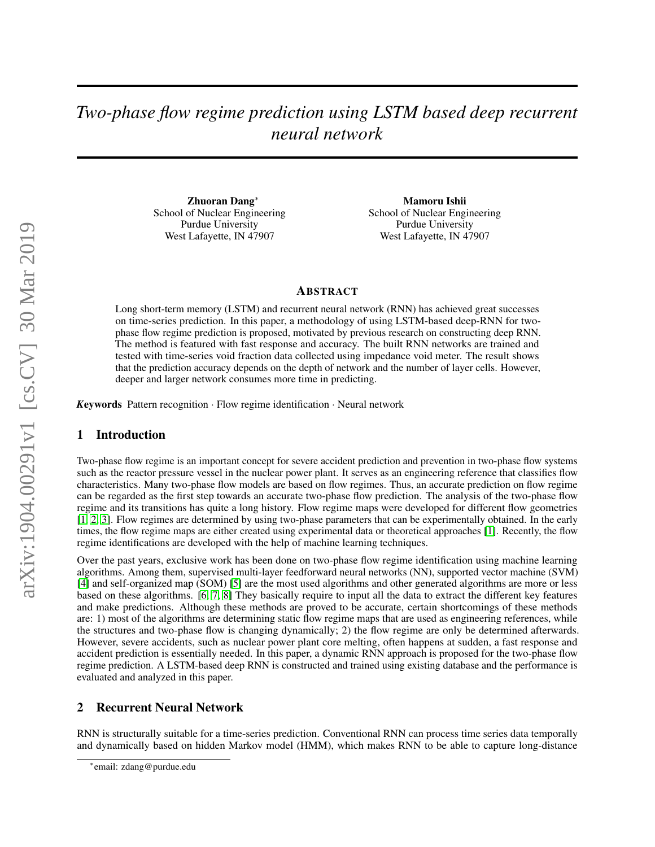# *Two-phase flow regime prediction using LSTM based deep recurrent neural network*

Zhuoran Dang<sup>∗</sup> School of Nuclear Engineering Purdue University West Lafayette, IN 47907

Mamoru Ishii School of Nuclear Engineering Purdue University West Lafayette, IN 47907

### ABSTRACT

Long short-term memory (LSTM) and recurrent neural network (RNN) has achieved great successes on time-series prediction. In this paper, a methodology of using LSTM-based deep-RNN for twophase flow regime prediction is proposed, motivated by previous research on constructing deep RNN. The method is featured with fast response and accuracy. The built RNN networks are trained and tested with time-series void fraction data collected using impedance void meter. The result shows that the prediction accuracy depends on the depth of network and the number of layer cells. However, deeper and larger network consumes more time in predicting.

*K*eywords Pattern recognition · Flow regime identification · Neural network

# 1 Introduction

Two-phase flow regime is an important concept for severe accident prediction and prevention in two-phase flow systems such as the reactor pressure vessel in the nuclear power plant. It serves as an engineering reference that classifies flow characteristics. Many two-phase flow models are based on flow regimes. Thus, an accurate prediction on flow regime can be regarded as the first step towards an accurate two-phase flow prediction. The analysis of the two-phase flow regime and its transitions has quite a long history. Flow regime maps were developed for different flow geometries [\[1,](#page-5-0) [2,](#page-5-1) [3\]](#page-5-2). Flow regimes are determined by using two-phase parameters that can be experimentally obtained. In the early times, the flow regime maps are either created using experimental data or theoretical approaches [\[1\]](#page-5-0). Recently, the flow regime identifications are developed with the help of machine learning techniques.

Over the past years, exclusive work has been done on two-phase flow regime identification using machine learning algorithms. Among them, supervised multi-layer feedforward neural networks (NN), supported vector machine (SVM) [\[4\]](#page-5-3) and self-organized map (SOM) [\[5\]](#page-5-4) are the most used algorithms and other generated algorithms are more or less based on these algorithms. [\[6,](#page-5-5) [7,](#page-5-6) [8\]](#page-5-7) They basically require to input all the data to extract the different key features and make predictions. Although these methods are proved to be accurate, certain shortcomings of these methods are: 1) most of the algorithms are determining static flow regime maps that are used as engineering references, while the structures and two-phase flow is changing dynamically; 2) the flow regime are only be determined afterwards. However, severe accidents, such as nuclear power plant core melting, often happens at sudden, a fast response and accident prediction is essentially needed. In this paper, a dynamic RNN approach is proposed for the two-phase flow regime prediction. A LSTM-based deep RNN is constructed and trained using existing database and the performance is evaluated and analyzed in this paper.

# 2 Recurrent Neural Network

RNN is structurally suitable for a time-series prediction. Conventional RNN can process time series data temporally and dynamically based on hidden Markov model (HMM), which makes RNN to be able to capture long-distance

<sup>∗</sup> email: zdang@purdue.edu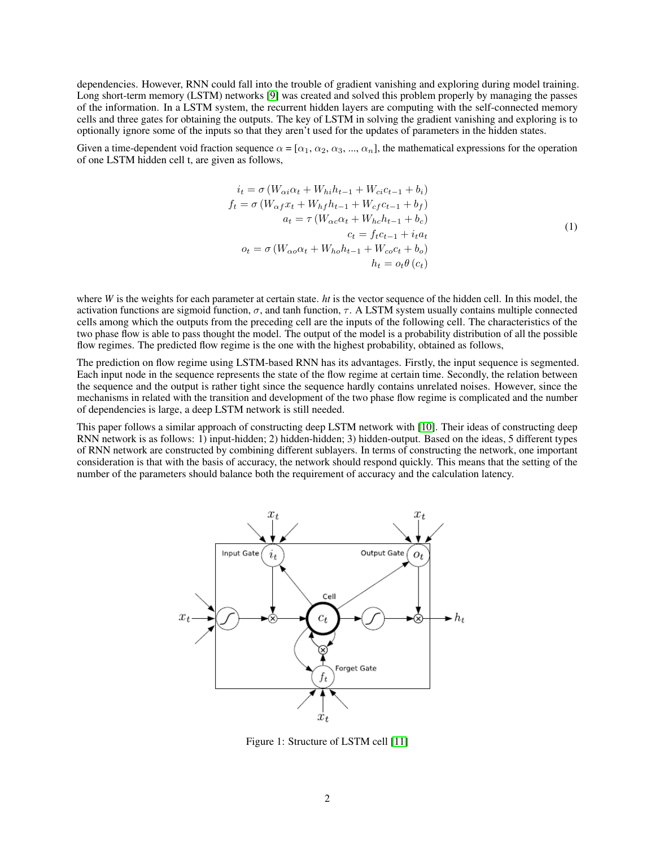dependencies. However, RNN could fall into the trouble of gradient vanishing and exploring during model training. Long short-term memory (LSTM) networks [\[9\]](#page-5-8) was created and solved this problem properly by managing the passes of the information. In a LSTM system, the recurrent hidden layers are computing with the self-connected memory cells and three gates for obtaining the outputs. The key of LSTM in solving the gradient vanishing and exploring is to optionally ignore some of the inputs so that they aren't used for the updates of parameters in the hidden states.

Given a time-dependent void fraction sequence  $\alpha = [\alpha_1, \alpha_2, \alpha_3, ..., \alpha_n]$ , the mathematical expressions for the operation of one LSTM hidden cell t, are given as follows,

$$
i_t = \sigma (W_{\alpha i} \alpha_t + W_{hi} h_{t-1} + W_{ci} c_{t-1} + b_i)
$$
  
\n
$$
f_t = \sigma (W_{\alpha f} x_t + W_{hf} h_{t-1} + W_{cf} c_{t-1} + b_f)
$$
  
\n
$$
a_t = \tau (W_{\alpha c} \alpha_t + W_{hc} h_{t-1} + b_c)
$$
  
\n
$$
c_t = f_t c_{t-1} + i_t a_t
$$
  
\n
$$
o_t = \sigma (W_{\alpha o} \alpha_t + W_{ho} h_{t-1} + W_{co} c_t + b_o)
$$
  
\n
$$
h_t = o_t \theta (c_t)
$$
\n(1)

where *W* is the weights for each parameter at certain state. *ht* is the vector sequence of the hidden cell. In this model, the activation functions are sigmoid function,  $\sigma$ , and tanh function,  $\tau$ . A LSTM system usually contains multiple connected cells among which the outputs from the preceding cell are the inputs of the following cell. The characteristics of the two phase flow is able to pass thought the model. The output of the model is a probability distribution of all the possible flow regimes. The predicted flow regime is the one with the highest probability, obtained as follows,

The prediction on flow regime using LSTM-based RNN has its advantages. Firstly, the input sequence is segmented. Each input node in the sequence represents the state of the flow regime at certain time. Secondly, the relation between the sequence and the output is rather tight since the sequence hardly contains unrelated noises. However, since the mechanisms in related with the transition and development of the two phase flow regime is complicated and the number of dependencies is large, a deep LSTM network is still needed.

This paper follows a similar approach of constructing deep LSTM network with [\[10\]](#page-5-9). Their ideas of constructing deep RNN network is as follows: 1) input-hidden; 2) hidden-hidden; 3) hidden-output. Based on the ideas, 5 different types of RNN network are constructed by combining different sublayers. In terms of constructing the network, one important consideration is that with the basis of accuracy, the network should respond quickly. This means that the setting of the number of the parameters should balance both the requirement of accuracy and the calculation latency.



Figure 1: Structure of LSTM cell [\[11\]](#page-5-10)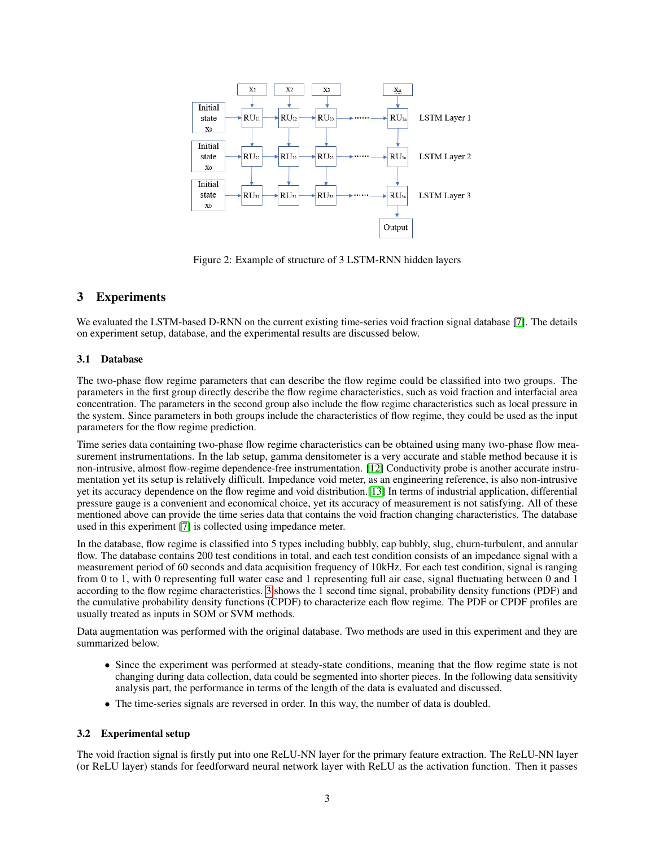

Figure 2: Example of structure of 3 LSTM-RNN hidden layers

# 3 Experiments

We evaluated the LSTM-based D-RNN on the current existing time-series void fraction signal database [\[7\]](#page-5-6). The details on experiment setup, database, and the experimental results are discussed below.

# 3.1 Database

The two-phase flow regime parameters that can describe the flow regime could be classified into two groups. The parameters in the first group directly describe the flow regime characteristics, such as void fraction and interfacial area concentration. The parameters in the second group also include the flow regime characteristics such as local pressure in the system. Since parameters in both groups include the characteristics of flow regime, they could be used as the input parameters for the flow regime prediction.

Time series data containing two-phase flow regime characteristics can be obtained using many two-phase flow measurement instrumentations. In the lab setup, gamma densitometer is a very accurate and stable method because it is non-intrusive, almost flow-regime dependence-free instrumentation. [\[12\]](#page-5-11) Conductivity probe is another accurate instrumentation yet its setup is relatively difficult. Impedance void meter, as an engineering reference, is also non-intrusive yet its accuracy dependence on the flow regime and void distribution.[\[13\]](#page-5-12) In terms of industrial application, differential pressure gauge is a convenient and economical choice, yet its accuracy of measurement is not satisfying. All of these mentioned above can provide the time series data that contains the void fraction changing characteristics. The database used in this experiment [\[7\]](#page-5-6) is collected using impedance meter.

In the database, flow regime is classified into 5 types including bubbly, cap bubbly, slug, churn-turbulent, and annular flow. The database contains 200 test conditions in total, and each test condition consists of an impedance signal with a measurement period of 60 seconds and data acquisition frequency of 10kHz. For each test condition, signal is ranging from 0 to 1, with 0 representing full water case and 1 representing full air case, signal fluctuating between 0 and 1 according to the flow regime characteristics. [3](#page-3-0) shows the 1 second time signal, probability density functions (PDF) and the cumulative probability density functions (CPDF) to characterize each flow regime. The PDF or CPDF profiles are usually treated as inputs in SOM or SVM methods.

Data augmentation was performed with the original database. Two methods are used in this experiment and they are summarized below.

- Since the experiment was performed at steady-state conditions, meaning that the flow regime state is not changing during data collection, data could be segmented into shorter pieces. In the following data sensitivity analysis part, the performance in terms of the length of the data is evaluated and discussed.
- The time-series signals are reversed in order. In this way, the number of data is doubled.

# 3.2 Experimental setup

The void fraction signal is firstly put into one ReLU-NN layer for the primary feature extraction. The ReLU-NN layer (or ReLU layer) stands for feedforward neural network layer with ReLU as the activation function. Then it passes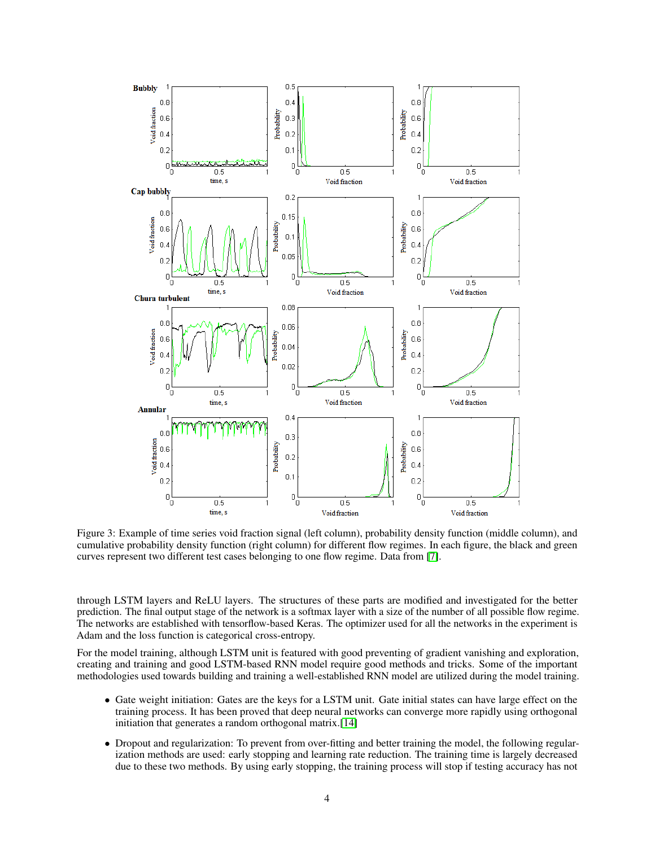

<span id="page-3-0"></span>Figure 3: Example of time series void fraction signal (left column), probability density function (middle column), and cumulative probability density function (right column) for different flow regimes. In each figure, the black and green curves represent two different test cases belonging to one flow regime. Data from [\[7\]](#page-5-6).

through LSTM layers and ReLU layers. The structures of these parts are modified and investigated for the better prediction. The final output stage of the network is a softmax layer with a size of the number of all possible flow regime. The networks are established with tensorflow-based Keras. The optimizer used for all the networks in the experiment is Adam and the loss function is categorical cross-entropy.

For the model training, although LSTM unit is featured with good preventing of gradient vanishing and exploration, creating and training and good LSTM-based RNN model require good methods and tricks. Some of the important methodologies used towards building and training a well-established RNN model are utilized during the model training.

- Gate weight initiation: Gates are the keys for a LSTM unit. Gate initial states can have large effect on the training process. It has been proved that deep neural networks can converge more rapidly using orthogonal initiation that generates a random orthogonal matrix.[\[14\]](#page-5-13)
- Dropout and regularization: To prevent from over-fitting and better training the model, the following regularization methods are used: early stopping and learning rate reduction. The training time is largely decreased due to these two methods. By using early stopping, the training process will stop if testing accuracy has not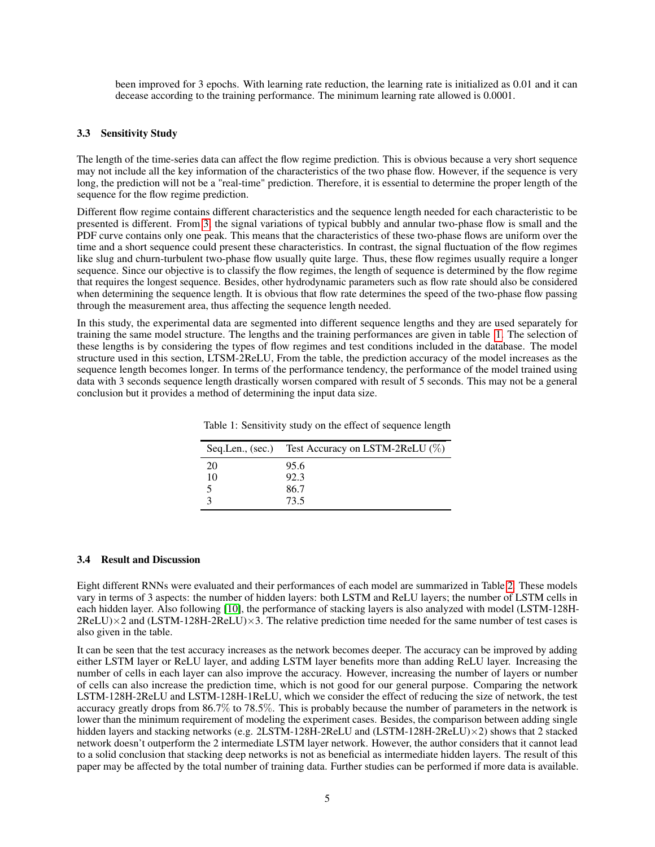been improved for 3 epochs. With learning rate reduction, the learning rate is initialized as 0.01 and it can decease according to the training performance. The minimum learning rate allowed is 0.0001.

#### 3.3 Sensitivity Study

The length of the time-series data can affect the flow regime prediction. This is obvious because a very short sequence may not include all the key information of the characteristics of the two phase flow. However, if the sequence is very long, the prediction will not be a "real-time" prediction. Therefore, it is essential to determine the proper length of the sequence for the flow regime prediction.

Different flow regime contains different characteristics and the sequence length needed for each characteristic to be presented is different. From [3,](#page-3-0) the signal variations of typical bubbly and annular two-phase flow is small and the PDF curve contains only one peak. This means that the characteristics of these two-phase flows are uniform over the time and a short sequence could present these characteristics. In contrast, the signal fluctuation of the flow regimes like slug and churn-turbulent two-phase flow usually quite large. Thus, these flow regimes usually require a longer sequence. Since our objective is to classify the flow regimes, the length of sequence is determined by the flow regime that requires the longest sequence. Besides, other hydrodynamic parameters such as flow rate should also be considered when determining the sequence length. It is obvious that flow rate determines the speed of the two-phase flow passing through the measurement area, thus affecting the sequence length needed.

In this study, the experimental data are segmented into different sequence lengths and they are used separately for training the same model structure. The lengths and the training performances are given in table [1.](#page-4-0) The selection of these lengths is by considering the types of flow regimes and test conditions included in the database. The model structure used in this section, LTSM-2ReLU, From the table, the prediction accuracy of the model increases as the sequence length becomes longer. In terms of the performance tendency, the performance of the model trained using data with 3 seconds sequence length drastically worsen compared with result of 5 seconds. This may not be a general conclusion but it provides a method of determining the input data size.

|    | Seq.Len., (sec.) Test Accuracy on LSTM-2ReLU (%) |
|----|--------------------------------------------------|
| 20 | 95.6                                             |
| 10 | 92.3                                             |
|    | 86.7                                             |
|    | 73.5                                             |

<span id="page-4-0"></span>Table 1: Sensitivity study on the effect of sequence length

#### 3.4 Result and Discussion

Eight different RNNs were evaluated and their performances of each model are summarized in Table [2.](#page-5-14) These models vary in terms of 3 aspects: the number of hidden layers: both LSTM and ReLU layers; the number of LSTM cells in each hidden layer. Also following [\[10\]](#page-5-9), the performance of stacking layers is also analyzed with model (LSTM-128H- $2ReLU \times 2$  and  $(LSTM-128H-2ReLU) \times 3$ . The relative prediction time needed for the same number of test cases is also given in the table.

It can be seen that the test accuracy increases as the network becomes deeper. The accuracy can be improved by adding either LSTM layer or ReLU layer, and adding LSTM layer benefits more than adding ReLU layer. Increasing the number of cells in each layer can also improve the accuracy. However, increasing the number of layers or number of cells can also increase the prediction time, which is not good for our general purpose. Comparing the network LSTM-128H-2ReLU and LSTM-128H-1ReLU, which we consider the effect of reducing the size of network, the test accuracy greatly drops from 86.7% to 78.5%. This is probably because the number of parameters in the network is lower than the minimum requirement of modeling the experiment cases. Besides, the comparison between adding single hidden layers and stacking networks (e.g. 2LSTM-128H-2ReLU and (LSTM-128H-2ReLU) $\times$ 2) shows that 2 stacked network doesn't outperform the 2 intermediate LSTM layer network. However, the author considers that it cannot lead to a solid conclusion that stacking deep networks is not as beneficial as intermediate hidden layers. The result of this paper may be affected by the total number of training data. Further studies can be performed if more data is available.